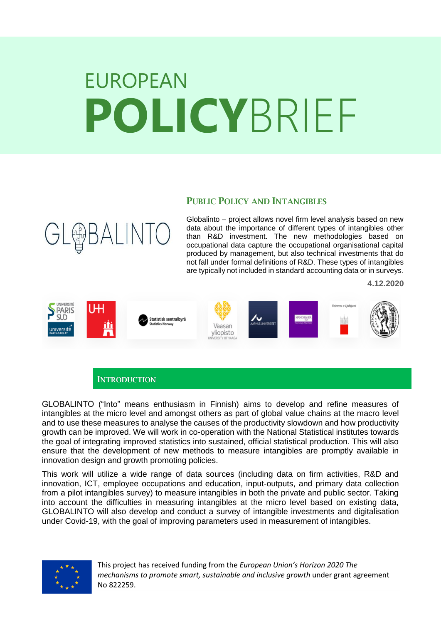# EUROPEAN **POLICY**BRIEF

## PUBLIC POLICY AND INTANGIBLES

Globalinto – project allows novel firm level analysis based on new data about the importance of different types of intangibles other than R&D investment. The new methodologies based on occupational data capture the occupational organisational capital produced by management, but also technical investments that do not fall under formal definitions of R&D. These types of intangibles are typically not included in standard accounting data or in surveys.

**4.12.2020**



**INTRODUCTION** 

**GL@BALINT** 

GLOBALINTO ("Into" means enthusiasm in Finnish) aims to develop and refine measures of intangibles at the micro level and amongst others as part of global value chains at the macro level and to use these measures to analyse the causes of the productivity slowdown and how productivity growth can be improved. We will work in co-operation with the National Statistical institutes towards the goal of integrating improved statistics into sustained, official statistical production. This will also ensure that the development of new methods to measure intangibles are promptly available in innovation design and growth promoting policies.

This work will utilize a wide range of data sources (including data on firm activities, R&D and innovation, ICT, employee occupations and education, input-outputs, and primary data collection from a pilot intangibles survey) to measure intangibles in both the private and public sector. Taking into account the difficulties in measuring intangibles at the micro level based on existing data, GLOBALINTO will also develop and conduct a survey of intangible investments and digitalisation under Covid-19, with the goal of improving parameters used in measurement of intangibles.



This project has received funding from the *European Union's Horizon 2020 The mechanisms to promote smart, sustainable and inclusive growth* under grant agreement No 822259.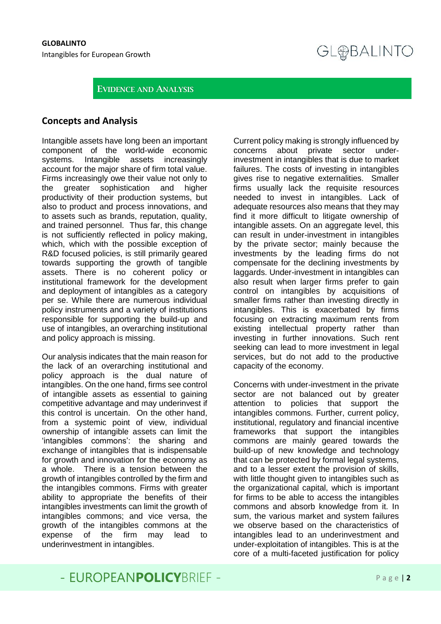**GL@BALINTO** 

#### EVIDENCE AND ANALYSIS

#### **Concepts and Analysis**

Intangible assets have long been an important component of the world-wide economic systems. Intangible assets increasingly account for the major share of firm total value. Firms increasingly owe their value not only to the greater sophistication and higher productivity of their production systems, but also to product and process innovations, and to assets such as brands, reputation, quality, and trained personnel. Thus far, this change is not sufficiently reflected in policy making, which, which with the possible exception of R&D focused policies, is still primarily geared towards supporting the growth of tangible assets. There is no coherent policy or institutional framework for the development and deployment of intangibles as a category per se. While there are numerous individual policy instruments and a variety of institutions responsible for supporting the build-up and use of intangibles, an overarching institutional and policy approach is missing.

Our analysis indicates that the main reason for the lack of an overarching institutional and policy approach is the dual nature of intangibles. On the one hand, firms see control of intangible assets as essential to gaining competitive advantage and may underinvest if this control is uncertain. On the other hand, from a systemic point of view, individual ownership of intangible assets can limit the 'intangibles commons': the sharing and exchange of intangibles that is indispensable for growth and innovation for the economy as a whole. There is a tension between the growth of intangibles controlled by the firm and the intangibles commons. Firms with greater ability to appropriate the benefits of their intangibles investments can limit the growth of intangibles commons; and vice versa, the growth of the intangibles commons at the expense of the firm may lead to underinvestment in intangibles.

Current policy making is strongly influenced by concerns about private sector underinvestment in intangibles that is due to market failures. The costs of investing in intangibles gives rise to negative externalities. Smaller firms usually lack the requisite resources needed to invest in intangibles. Lack of adequate resources also means that they may find it more difficult to litigate ownership of intangible assets. On an aggregate level, this can result in under-investment in intangibles by the private sector; mainly because the investments by the leading firms do not compensate for the declining investments by laggards. Under-investment in intangibles can also result when larger firms prefer to gain control on intangibles by acquisitions of smaller firms rather than investing directly in intangibles. This is exacerbated by firms focusing on extracting maximum rents from existing intellectual property rather than investing in further innovations. Such rent seeking can lead to more investment in legal services, but do not add to the productive capacity of the economy.

Concerns with under-investment in the private sector are not balanced out by greater attention to policies that support the intangibles commons. Further, current policy, institutional, regulatory and financial incentive frameworks that support the intangibles commons are mainly geared towards the build-up of new knowledge and technology that can be protected by formal legal systems, and to a lesser extent the provision of skills, with little thought given to intangibles such as the organizational capital, which is important for firms to be able to access the intangibles commons and absorb knowledge from it. In sum, the various market and system failures we observe based on the characteristics of intangibles lead to an underinvestment and under-exploitation of intangibles. This is at the core of a multi-faceted justification for policy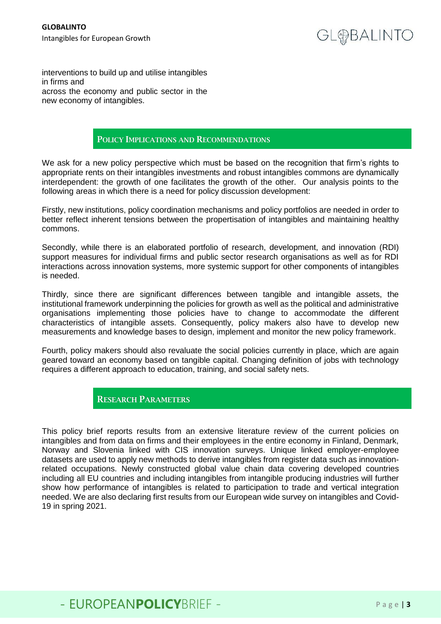interventions to build up and utilise intangibles in firms and across the economy and public sector in the new economy of intangibles.

#### POLICY IMPLICATIONS AND RECOMMENDATIONS

We ask for a new policy perspective which must be based on the recognition that firm's rights to appropriate rents on their intangibles investments and robust intangibles commons are dynamically interdependent: the growth of one facilitates the growth of the other. Our analysis points to the following areas in which there is a need for policy discussion development:

Firstly, new institutions, policy coordination mechanisms and policy portfolios are needed in order to better reflect inherent tensions between the propertisation of intangibles and maintaining healthy commons.

Secondly, while there is an elaborated portfolio of research, development, and innovation (RDI) support measures for individual firms and public sector research organisations as well as for RDI interactions across innovation systems, more systemic support for other components of intangibles is needed.

Thirdly, since there are significant differences between tangible and intangible assets, the institutional framework underpinning the policies for growth as well as the political and administrative organisations implementing those policies have to change to accommodate the different characteristics of intangible assets. Consequently, policy makers also have to develop new measurements and knowledge bases to design, implement and monitor the new policy framework.

Fourth, policy makers should also revaluate the social policies currently in place, which are again geared toward an economy based on tangible capital. Changing definition of jobs with technology requires a different approach to education, training, and social safety nets.

### RESEARCH PARAMETERS

This policy brief reports results from an extensive literature review of the current policies on intangibles and from data on firms and their employees in the entire economy in Finland, Denmark, Norway and Slovenia linked with CIS innovation surveys. Unique linked employer-employee datasets are used to apply new methods to derive intangibles from register data such as innovationrelated occupations. Newly constructed global value chain data covering developed countries including all EU countries and including intangibles from intangible producing industries will further show how performance of intangibles is related to participation to trade and vertical integration needed. We are also declaring first results from our European wide survey on intangibles and Covid-19 in spring 2021.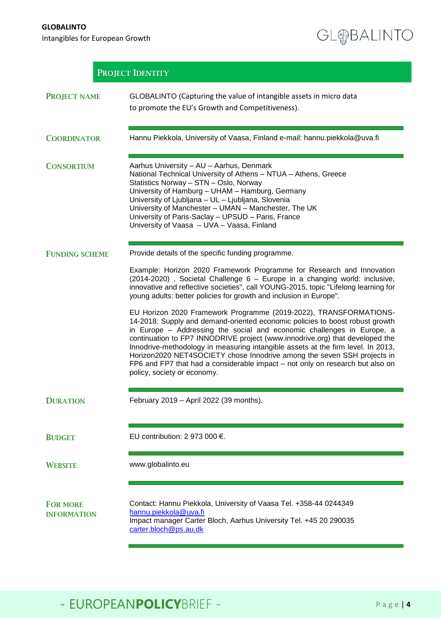**GLOBALINTO** 

Intangibles for European Growth

GL@BALINTO

| <b>PROJECT IDENTITY</b>               |                                                                                                                                                                                                                                                                                                                                                                                                                                                                                                                                                                                                                                                                                                                                                                                                                                                                                                                |
|---------------------------------------|----------------------------------------------------------------------------------------------------------------------------------------------------------------------------------------------------------------------------------------------------------------------------------------------------------------------------------------------------------------------------------------------------------------------------------------------------------------------------------------------------------------------------------------------------------------------------------------------------------------------------------------------------------------------------------------------------------------------------------------------------------------------------------------------------------------------------------------------------------------------------------------------------------------|
| <b>PROJECT NAME</b>                   | GLOBALINTO (Capturing the value of intangible assets in micro data<br>to promote the EU's Growth and Competitiveness).                                                                                                                                                                                                                                                                                                                                                                                                                                                                                                                                                                                                                                                                                                                                                                                         |
| <b>COORDINATOR</b>                    | Hannu Piekkola, University of Vaasa, Finland e-mail: hannu.piekkola@uva.fi                                                                                                                                                                                                                                                                                                                                                                                                                                                                                                                                                                                                                                                                                                                                                                                                                                     |
| <b>CONSORTIUM</b>                     | Aarhus University - AU - Aarhus, Denmark<br>National Technical University of Athens - NTUA - Athens, Greece<br>Statistics Norway - STN - Oslo, Norway<br>University of Hamburg - UHAM - Hamburg, Germany<br>University of Ljubljana - UL - Ljubljana, Slovenia<br>University of Manchester - UMAN - Manchester, The UK<br>University of Paris-Saclay - UPSUD - Paris, France<br>University of Vaasa - UVA - Vaasa, Finland                                                                                                                                                                                                                                                                                                                                                                                                                                                                                     |
| <b>FUNDING SCHEME</b>                 | Provide details of the specific funding programme.                                                                                                                                                                                                                                                                                                                                                                                                                                                                                                                                                                                                                                                                                                                                                                                                                                                             |
|                                       | Example: Horizon 2020 Framework Programme for Research and Innovation<br>(2014-2020), Societal Challenge 6 - Europe in a changing world: inclusive,<br>innovative and reflective societies", call YOUNG-2015, topic "Lifelong learning for<br>young adults: better policies for growth and inclusion in Europe".<br>EU Horizon 2020 Framework Programme (2019-2022), TRANSFORMATIONS-<br>14-2018: Supply and demand-oriented economic policies to boost robust growth<br>in Europe - Addressing the social and economic challenges in Europe, a<br>continuation to FP7 INNODRIVE project (www.innodrive.org) that developed the<br>Innodrive-methodology in measuring intangible assets at the firm level. In 2013,<br>Horizon2020 NET4SOCIETY chose Innodrive among the seven SSH projects in<br>FP6 and FP7 that had a considerable impact - not only on research but also on<br>policy, society or economy. |
| <b>DURATION</b>                       | February 2019 - April 2022 (39 months).                                                                                                                                                                                                                                                                                                                                                                                                                                                                                                                                                                                                                                                                                                                                                                                                                                                                        |
| <b>BUDGET</b>                         | EU contribution: 2 973 000 $\epsilon$ .                                                                                                                                                                                                                                                                                                                                                                                                                                                                                                                                                                                                                                                                                                                                                                                                                                                                        |
| <b>WEBSITE</b>                        | www.globalinto.eu                                                                                                                                                                                                                                                                                                                                                                                                                                                                                                                                                                                                                                                                                                                                                                                                                                                                                              |
| <b>FOR MORE</b><br><b>INFORMATION</b> | Contact: Hannu Piekkola, University of Vaasa Tel. +358-44 0244349<br>hannu.piekkola@uva.fi<br>Impact manager Carter Bloch, Aarhus University Tel. +45 20 290035<br>carter.bloch@ps.au.dk                                                                                                                                                                                                                                                                                                                                                                                                                                                                                                                                                                                                                                                                                                                       |

# - EUROPEANPOLICYBRIEF - Page | 4